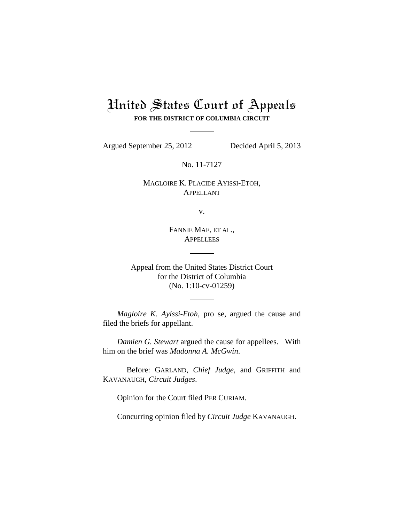## United States Court of Appeals **FOR THE DISTRICT OF COLUMBIA CIRCUIT**

Argued September 25, 2012 Decided April 5, 2013

No. 11-7127

MAGLOIRE K. PLACIDE AYISSI-ETOH, APPELLANT

v.

FANNIE MAE, ET AL., **APPELLEES** 

Appeal from the United States District Court for the District of Columbia (No. 1:10-cv-01259)

*Magloire K. Ayissi-Etoh*, pro se, argued the cause and filed the briefs for appellant.

*Damien G. Stewart* argued the cause for appellees. With him on the brief was *Madonna A. McGwin*.

Before: GARLAND, *Chief Judge*, and GRIFFITH and KAVANAUGH, *Circuit Judges*.

Opinion for the Court filed PER CURIAM.

Concurring opinion filed by *Circuit Judge* KAVANAUGH.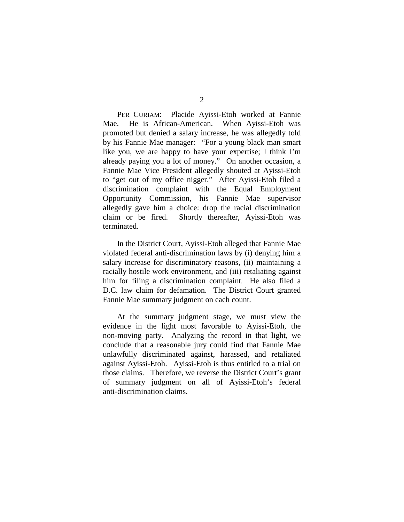PER CURIAM: Placide Ayissi-Etoh worked at Fannie Mae. He is African-American. When Ayissi-Etoh was promoted but denied a salary increase, he was allegedly told by his Fannie Mae manager: "For a young black man smart like you, we are happy to have your expertise; I think I'm already paying you a lot of money." On another occasion, a Fannie Mae Vice President allegedly shouted at Ayissi-Etoh to "get out of my office nigger." After Ayissi-Etoh filed a discrimination complaint with the Equal Employment Opportunity Commission, his Fannie Mae supervisor allegedly gave him a choice: drop the racial discrimination claim or be fired. Shortly thereafter, Ayissi-Etoh was terminated.

In the District Court, Ayissi-Etoh alleged that Fannie Mae violated federal anti-discrimination laws by (i) denying him a salary increase for discriminatory reasons, (ii) maintaining a racially hostile work environment, and (iii) retaliating against him for filing a discrimination complaint. He also filed a D.C. law claim for defamation. The District Court granted Fannie Mae summary judgment on each count.

At the summary judgment stage, we must view the evidence in the light most favorable to Ayissi-Etoh, the non-moving party. Analyzing the record in that light, we conclude that a reasonable jury could find that Fannie Mae unlawfully discriminated against, harassed, and retaliated against Ayissi-Etoh. Ayissi-Etoh is thus entitled to a trial on those claims. Therefore, we reverse the District Court's grant of summary judgment on all of Ayissi-Etoh's federal anti-discrimination claims.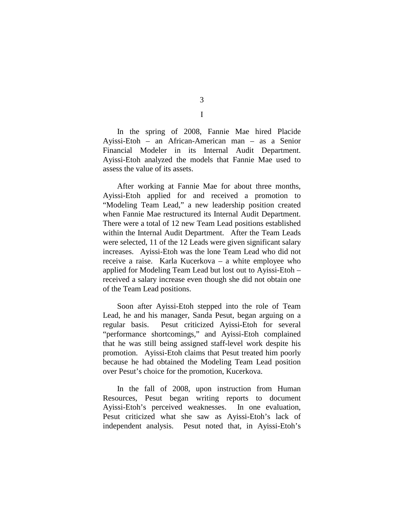In the spring of 2008, Fannie Mae hired Placide Ayissi-Etoh – an African-American man – as a Senior Financial Modeler in its Internal Audit Department. Ayissi-Etoh analyzed the models that Fannie Mae used to assess the value of its assets.

After working at Fannie Mae for about three months, Ayissi-Etoh applied for and received a promotion to "Modeling Team Lead," a new leadership position created when Fannie Mae restructured its Internal Audit Department. There were a total of 12 new Team Lead positions established within the Internal Audit Department. After the Team Leads were selected, 11 of the 12 Leads were given significant salary increases. Ayissi-Etoh was the lone Team Lead who did not receive a raise. Karla Kucerkova – a white employee who applied for Modeling Team Lead but lost out to Ayissi-Etoh – received a salary increase even though she did not obtain one of the Team Lead positions.

Soon after Ayissi-Etoh stepped into the role of Team Lead, he and his manager, Sanda Pesut, began arguing on a regular basis. Pesut criticized Ayissi-Etoh for several "performance shortcomings," and Ayissi-Etoh complained that he was still being assigned staff-level work despite his promotion. Ayissi-Etoh claims that Pesut treated him poorly because he had obtained the Modeling Team Lead position over Pesut's choice for the promotion, Kucerkova.

In the fall of 2008, upon instruction from Human Resources, Pesut began writing reports to document Ayissi-Etoh's perceived weaknesses. In one evaluation, Pesut criticized what she saw as Ayissi-Etoh's lack of independent analysis. Pesut noted that, in Ayissi-Etoh's

3 I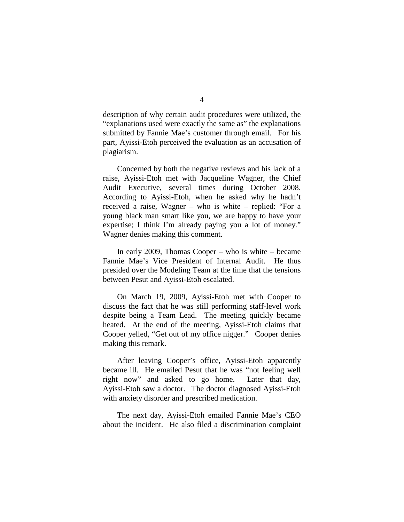description of why certain audit procedures were utilized, the "explanations used were exactly the same as" the explanations submitted by Fannie Mae's customer through email. For his part, Ayissi-Etoh perceived the evaluation as an accusation of plagiarism.

Concerned by both the negative reviews and his lack of a raise, Ayissi-Etoh met with Jacqueline Wagner, the Chief Audit Executive, several times during October 2008. According to Ayissi-Etoh, when he asked why he hadn't received a raise, Wagner – who is white – replied: "For a young black man smart like you, we are happy to have your expertise; I think I'm already paying you a lot of money." Wagner denies making this comment.

In early 2009, Thomas Cooper – who is white – became Fannie Mae's Vice President of Internal Audit. He thus presided over the Modeling Team at the time that the tensions between Pesut and Ayissi-Etoh escalated.

On March 19, 2009, Ayissi-Etoh met with Cooper to discuss the fact that he was still performing staff-level work despite being a Team Lead. The meeting quickly became heated. At the end of the meeting, Ayissi-Etoh claims that Cooper yelled, "Get out of my office nigger." Cooper denies making this remark.

After leaving Cooper's office, Ayissi-Etoh apparently became ill. He emailed Pesut that he was "not feeling well right now" and asked to go home. Later that day, Ayissi-Etoh saw a doctor. The doctor diagnosed Ayissi-Etoh with anxiety disorder and prescribed medication.

The next day, Ayissi-Etoh emailed Fannie Mae's CEO about the incident. He also filed a discrimination complaint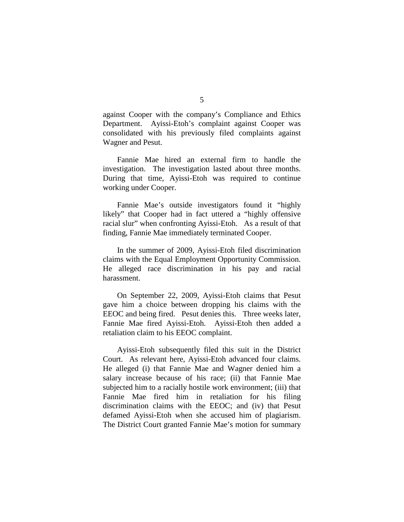against Cooper with the company's Compliance and Ethics Department. Ayissi-Etoh's complaint against Cooper was consolidated with his previously filed complaints against Wagner and Pesut.

Fannie Mae hired an external firm to handle the investigation. The investigation lasted about three months. During that time, Ayissi-Etoh was required to continue working under Cooper.

Fannie Mae's outside investigators found it "highly likely" that Cooper had in fact uttered a "highly offensive racial slur" when confronting Ayissi-Etoh. As a result of that finding, Fannie Mae immediately terminated Cooper.

In the summer of 2009, Ayissi-Etoh filed discrimination claims with the Equal Employment Opportunity Commission. He alleged race discrimination in his pay and racial harassment.

On September 22, 2009, Ayissi-Etoh claims that Pesut gave him a choice between dropping his claims with the EEOC and being fired. Pesut denies this. Three weeks later, Fannie Mae fired Ayissi-Etoh. Ayissi-Etoh then added a retaliation claim to his EEOC complaint.

Ayissi-Etoh subsequently filed this suit in the District Court. As relevant here, Ayissi-Etoh advanced four claims. He alleged (i) that Fannie Mae and Wagner denied him a salary increase because of his race; (ii) that Fannie Mae subjected him to a racially hostile work environment; (iii) that Fannie Mae fired him in retaliation for his filing discrimination claims with the EEOC; and (iv) that Pesut defamed Ayissi-Etoh when she accused him of plagiarism. The District Court granted Fannie Mae's motion for summary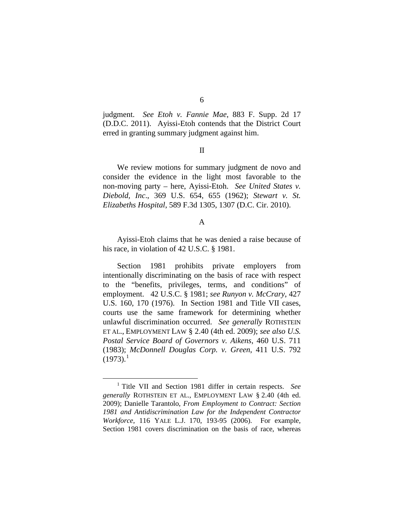judgment. *See Etoh v. Fannie Mae*, 883 F. Supp. 2d 17 (D.D.C. 2011). Ayissi-Etoh contends that the District Court erred in granting summary judgment against him.

## II

We review motions for summary judgment de novo and consider the evidence in the light most favorable to the non-moving party – here, Ayissi-Etoh. *See United States v. Diebold, Inc*., 369 U.S. 654, 655 (1962); *Stewart v. St. Elizabeths Hospital*, 589 F.3d 1305, 1307 (D.C. Cir. 2010).

## A

Ayissi-Etoh claims that he was denied a raise because of his race, in violation of 42 U.S.C. § 1981.

Section 1981 prohibits private employers from intentionally discriminating on the basis of race with respect to the "benefits, privileges, terms, and conditions" of employment. 42 U.S.C. § 1981; *see Runyon v. McCrary*, 427 U.S. 160, 170 (1976). In Section 1981 and Title VII cases, courts use the same framework for determining whether unlawful discrimination occurred. *See generally* ROTHSTEIN ET AL., EMPLOYMENT LAW § 2.40 (4th ed. 2009); *see also U.S. Postal Service Board of Governors v. Aikens*, 460 U.S. 711 (1983); *McDonnell Douglas Corp. v. Green*, 411 U.S. 792  $(1973).<sup>1</sup>$  $(1973).<sup>1</sup>$  $(1973).<sup>1</sup>$ 

<span id="page-5-0"></span> <sup>1</sup> Title VII and Section 1981 differ in certain respects. *See generally* ROTHSTEIN ET AL., EMPLOYMENT LAW § 2.40 (4th ed. 2009); Danielle Tarantolo, *From Employment to Contract: Section 1981 and Antidiscrimination Law for the Independent Contractor Workforce*, 116 YALE L.J. 170, 193-95 (2006). For example, Section 1981 covers discrimination on the basis of race, whereas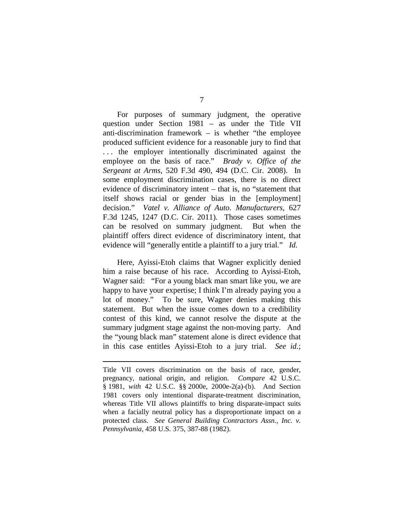For purposes of summary judgment, the operative question under Section 1981 – as under the Title VII anti-discrimination framework – is whether "the employee produced sufficient evidence for a reasonable jury to find that . . . the employer intentionally discriminated against the employee on the basis of race." *Brady v. Office of the Sergeant at Arms*, 520 F.3d 490, 494 (D.C. Cir. 2008). In some employment discrimination cases, there is no direct evidence of discriminatory intent – that is, no "statement that itself shows racial or gender bias in the [employment] decision." *Vatel v. Alliance of Auto. Manufacturers*, 627 F.3d 1245, 1247 (D.C. Cir. 2011). Those cases sometimes can be resolved on summary judgment. But when the plaintiff offers direct evidence of discriminatory intent, that evidence will "generally entitle a plaintiff to a jury trial." *Id.*

Here, Ayissi-Etoh claims that Wagner explicitly denied him a raise because of his race. According to Ayissi-Etoh, Wagner said: "For a young black man smart like you, we are happy to have your expertise; I think I'm already paying you a lot of money." To be sure, Wagner denies making this statement. But when the issue comes down to a credibility contest of this kind, we cannot resolve the dispute at the summary judgment stage against the non-moving party. And the "young black man" statement alone is direct evidence that in this case entitles Ayissi-Etoh to a jury trial. *See id.*;

 $\overline{a}$ 

Title VII covers discrimination on the basis of race, gender, pregnancy, national origin, and religion. *Compare* 42 U.S.C. § 1981, *with* 42 U.S.C. §§ 2000e, 2000e-2(a)-(b). And Section 1981 covers only intentional disparate-treatment discrimination, whereas Title VII allows plaintiffs to bring disparate-impact suits when a facially neutral policy has a disproportionate impact on a protected class. *See General Building Contractors Assn., Inc. v. Pennsylvania*, 458 U.S. 375, 387-88 (1982).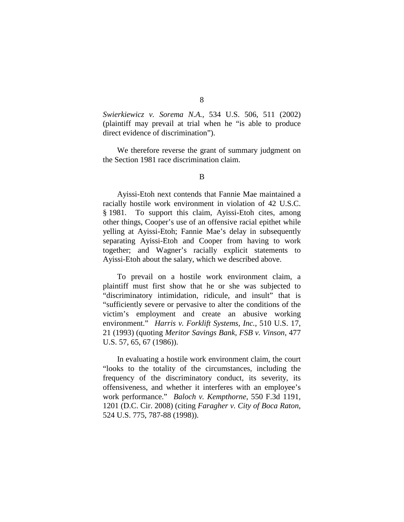*Swierkiewicz v. Sorema N.A.*, 534 U.S. 506, 511 (2002) (plaintiff may prevail at trial when he "is able to produce direct evidence of discrimination").

We therefore reverse the grant of summary judgment on the Section 1981 race discrimination claim.

Ayissi-Etoh next contends that Fannie Mae maintained a racially hostile work environment in violation of 42 U.S.C. § 1981. To support this claim, Ayissi-Etoh cites, among other things, Cooper's use of an offensive racial epithet while yelling at Ayissi-Etoh; Fannie Mae's delay in subsequently separating Ayissi-Etoh and Cooper from having to work together; and Wagner's racially explicit statements to Ayissi-Etoh about the salary, which we described above.

To prevail on a hostile work environment claim, a plaintiff must first show that he or she was subjected to "discriminatory intimidation, ridicule, and insult" that is "sufficiently severe or pervasive to alter the conditions of the victim's employment and create an abusive working environment." *Harris v. Forklift Systems, Inc.*, 510 U.S. 17, 21 (1993) (quoting *Meritor Savings Bank, FSB v. Vinson*, 477 U.S. 57, 65, 67 (1986)).

In evaluating a hostile work environment claim, the court "looks to the totality of the circumstances, including the frequency of the discriminatory conduct, its severity, its offensiveness, and whether it interferes with an employee's work performance." *Baloch v. Kempthorne*, 550 F.3d 1191, 1201 (D.C. Cir. 2008) (citing *Faragher v. City of Boca Raton*, 524 U.S. 775, 787-88 (1998)).

B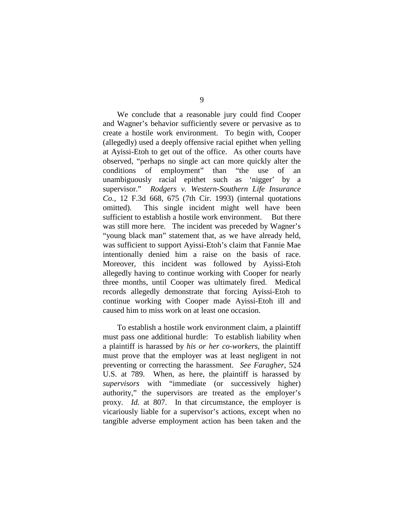We conclude that a reasonable jury could find Cooper and Wagner's behavior sufficiently severe or pervasive as to create a hostile work environment. To begin with, Cooper (allegedly) used a deeply offensive racial epithet when yelling at Ayissi-Etoh to get out of the office. As other courts have observed, "perhaps no single act can more quickly alter the conditions of employment" than "the use of an unambiguously racial epithet such as 'nigger' by a supervisor." *Rodgers v. Western-Southern Life Insurance Co.*, 12 F.3d 668, 675 (7th Cir. 1993) (internal quotations omitted). This single incident might well have been sufficient to establish a hostile work environment. But there was still more here. The incident was preceded by Wagner's "young black man" statement that, as we have already held, was sufficient to support Ayissi-Etoh's claim that Fannie Mae intentionally denied him a raise on the basis of race. Moreover, this incident was followed by Ayissi-Etoh allegedly having to continue working with Cooper for nearly three months, until Cooper was ultimately fired. Medical records allegedly demonstrate that forcing Ayissi-Etoh to continue working with Cooper made Ayissi-Etoh ill and caused him to miss work on at least one occasion.

To establish a hostile work environment claim, a plaintiff must pass one additional hurdle: To establish liability when a plaintiff is harassed by *his or her co-workers*, the plaintiff must prove that the employer was at least negligent in not preventing or correcting the harassment. *See Faragher*, 524 U.S. at 789. When, as here, the plaintiff is harassed by *supervisors* with "immediate (or successively higher) authority," the supervisors are treated as the employer's proxy. *Id.* at 807. In that circumstance, the employer is vicariously liable for a supervisor's actions, except when no tangible adverse employment action has been taken and the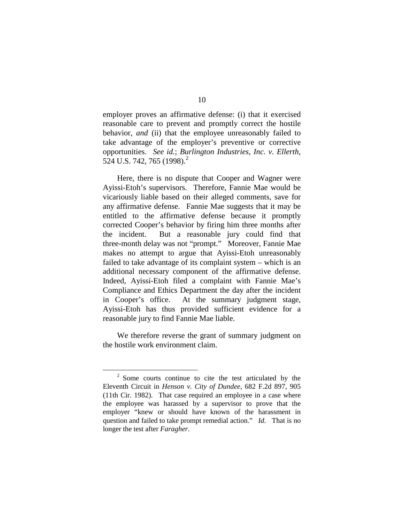employer proves an affirmative defense: (i) that it exercised reasonable care to prevent and promptly correct the hostile behavior, *and* (ii) that the employee unreasonably failed to take advantage of the employer's preventive or corrective opportunities. *See id.*; *Burlington Industries, Inc. v. Ellerth*, 5[2](#page-9-0)4 U.S. 742, 765 (1998).<sup>2</sup>

Here, there is no dispute that Cooper and Wagner were Ayissi-Etoh's supervisors. Therefore, Fannie Mae would be vicariously liable based on their alleged comments, save for any affirmative defense. Fannie Mae suggests that it may be entitled to the affirmative defense because it promptly corrected Cooper's behavior by firing him three months after the incident. But a reasonable jury could find that three-month delay was not "prompt." Moreover, Fannie Mae makes no attempt to argue that Ayissi-Etoh unreasonably failed to take advantage of its complaint system – which is an additional necessary component of the affirmative defense. Indeed, Ayissi-Etoh filed a complaint with Fannie Mae's Compliance and Ethics Department the day after the incident in Cooper's office. At the summary judgment stage, Ayissi-Etoh has thus provided sufficient evidence for a reasonable jury to find Fannie Mae liable.

We therefore reverse the grant of summary judgment on the hostile work environment claim.

<span id="page-9-0"></span><sup>&</sup>lt;sup>2</sup> Some courts continue to cite the test articulated by the Eleventh Circuit in *Henson v. City of Dundee*, 682 F.2d 897, 905 (11th Cir. 1982). That case required an employee in a case where the employee was harassed by a supervisor to prove that the employer "knew or should have known of the harassment in question and failed to take prompt remedial action." *Id.* That is no longer the test after *Faragher*.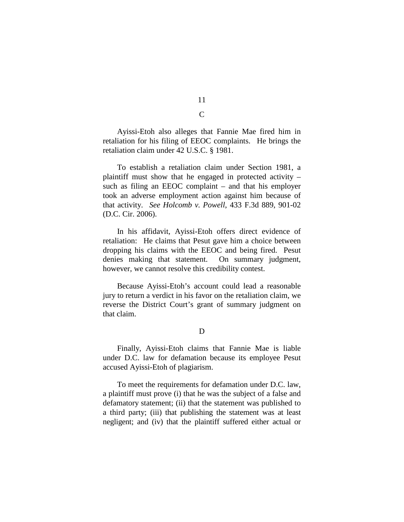Ayissi-Etoh also alleges that Fannie Mae fired him in retaliation for his filing of EEOC complaints. He brings the retaliation claim under 42 U.S.C. § 1981.

To establish a retaliation claim under Section 1981, a plaintiff must show that he engaged in protected activity – such as filing an EEOC complaint – and that his employer took an adverse employment action against him because of that activity. *See Holcomb v. Powell*, 433 F.3d 889, 901-02 (D.C. Cir. 2006).

In his affidavit, Ayissi-Etoh offers direct evidence of retaliation: He claims that Pesut gave him a choice between dropping his claims with the EEOC and being fired. Pesut denies making that statement. On summary judgment, however, we cannot resolve this credibility contest.

Because Ayissi-Etoh's account could lead a reasonable jury to return a verdict in his favor on the retaliation claim, we reverse the District Court's grant of summary judgment on that claim.

Finally, Ayissi-Etoh claims that Fannie Mae is liable under D.C. law for defamation because its employee Pesut accused Ayissi-Etoh of plagiarism.

To meet the requirements for defamation under D.C. law, a plaintiff must prove (i) that he was the subject of a false and defamatory statement; (ii) that the statement was published to a third party; (iii) that publishing the statement was at least negligent; and (iv) that the plaintiff suffered either actual or

11 C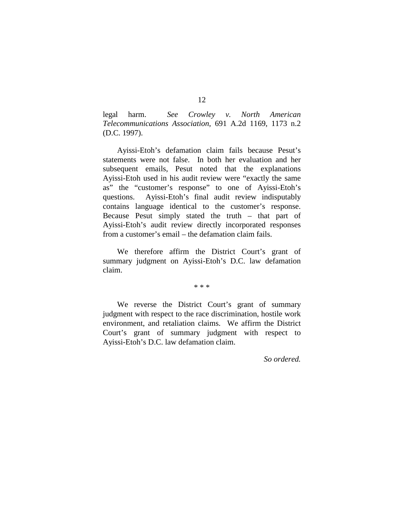legal harm. *See Crowley v. North American Telecommunications Association*, 691 A.2d 1169, 1173 n.2 (D.C. 1997).

Ayissi-Etoh's defamation claim fails because Pesut's statements were not false. In both her evaluation and her subsequent emails, Pesut noted that the explanations Ayissi-Etoh used in his audit review were "exactly the same as" the "customer's response" to one of Ayissi-Etoh's questions. Ayissi-Etoh's final audit review indisputably contains language identical to the customer's response. Because Pesut simply stated the truth – that part of Ayissi-Etoh's audit review directly incorporated responses from a customer's email – the defamation claim fails.

We therefore affirm the District Court's grant of summary judgment on Ayissi-Etoh's D.C. law defamation claim.

\* \* \*

We reverse the District Court's grant of summary judgment with respect to the race discrimination, hostile work environment, and retaliation claims. We affirm the District Court's grant of summary judgment with respect to Ayissi-Etoh's D.C. law defamation claim.

*So ordered.*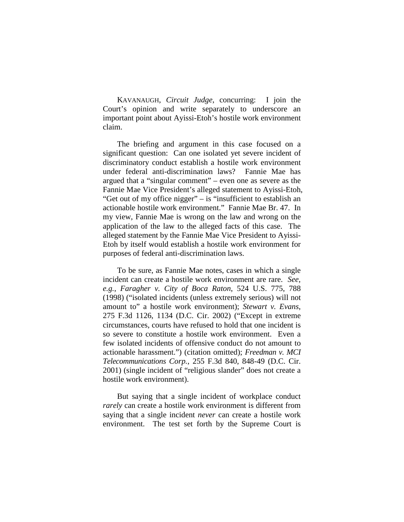KAVANAUGH, *Circuit Judge*, concurring: I join the Court's opinion and write separately to underscore an important point about Ayissi-Etoh's hostile work environment claim.

The briefing and argument in this case focused on a significant question: Can one isolated yet severe incident of discriminatory conduct establish a hostile work environment under federal anti-discrimination laws? Fannie Mae has argued that a "singular comment" – even one as severe as the Fannie Mae Vice President's alleged statement to Ayissi-Etoh, "Get out of my office nigger" – is "insufficient to establish an actionable hostile work environment." Fannie Mae Br. 47. In my view, Fannie Mae is wrong on the law and wrong on the application of the law to the alleged facts of this case. The alleged statement by the Fannie Mae Vice President to Ayissi-Etoh by itself would establish a hostile work environment for purposes of federal anti-discrimination laws.

To be sure, as Fannie Mae notes, cases in which a single incident can create a hostile work environment are rare. *See, e.g.*, *Faragher v. City of Boca Raton*, 524 U.S. 775, 788 (1998) ("isolated incidents (unless extremely serious) will not amount to" a hostile work environment); *Stewart v. Evans*, 275 F.3d 1126, 1134 (D.C. Cir. 2002) ("Except in extreme circumstances, courts have refused to hold that one incident is so severe to constitute a hostile work environment. Even a few isolated incidents of offensive conduct do not amount to actionable harassment.") (citation omitted); *Freedman v. MCI Telecommunications Corp.*, 255 F.3d 840, 848-49 (D.C. Cir. 2001) (single incident of "religious slander" does not create a hostile work environment).

But saying that a single incident of workplace conduct *rarely* can create a hostile work environment is different from saying that a single incident *never* can create a hostile work environment. The test set forth by the Supreme Court is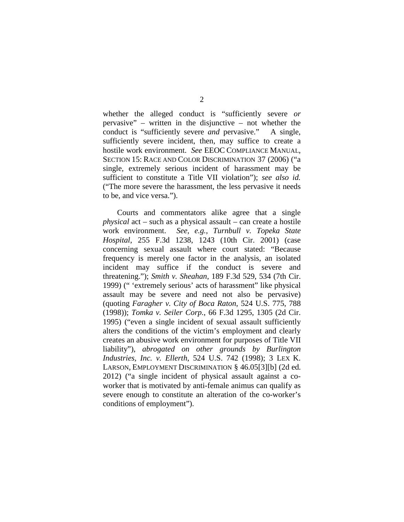whether the alleged conduct is "sufficiently severe *or* pervasive" – written in the disjunctive – not whether the conduct is "sufficiently severe *and* pervasive." A single, sufficiently severe incident, then, may suffice to create a hostile work environment. *See* EEOC COMPLIANCE MANUAL, SECTION 15: RACE AND COLOR DISCRIMINATION 37 (2006) ("a single, extremely serious incident of harassment may be sufficient to constitute a Title VII violation"); *see also id.* ("The more severe the harassment, the less pervasive it needs to be, and vice versa.").

Courts and commentators alike agree that a single *physical* act – such as a physical assault – can create a hostile work environment. *See, e.g.*, *Turnbull v. Topeka State Hospital*, 255 F.3d 1238, 1243 (10th Cir. 2001) (case concerning sexual assault where court stated: "Because frequency is merely one factor in the analysis, an isolated incident may suffice if the conduct is severe and threatening."); *Smith v. Sheahan*, 189 F.3d 529, 534 (7th Cir. 1999) (" 'extremely serious' acts of harassment" like physical assault may be severe and need not also be pervasive) (quoting *Faragher v. City of Boca Raton*, 524 U.S. 775, 788 (1998)); *Tomka v. Seiler Corp.*, 66 F.3d 1295, 1305 (2d Cir. 1995) ("even a single incident of sexual assault sufficiently alters the conditions of the victim's employment and clearly creates an abusive work environment for purposes of Title VII liability"), *abrogated on other grounds by Burlington Industries, Inc. v. Ellerth*, 524 U.S. 742 (1998); 3 LEX K. LARSON, EMPLOYMENT DISCRIMINATION § 46.05[3][b] (2d ed. 2012) ("a single incident of physical assault against a coworker that is motivated by anti-female animus can qualify as severe enough to constitute an alteration of the co-worker's conditions of employment").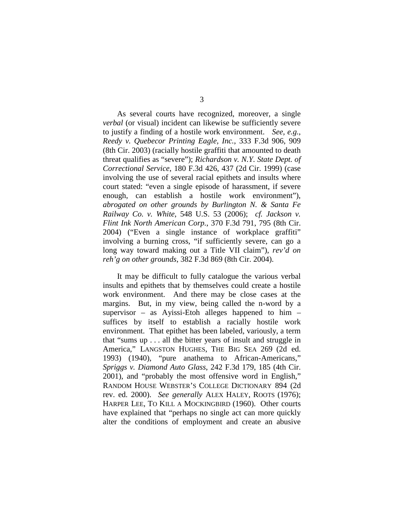As several courts have recognized, moreover, a single *verbal* (or visual) incident can likewise be sufficiently severe to justify a finding of a hostile work environment. *See, e.g.*, *Reedy v. Quebecor Printing Eagle, Inc.*, 333 F.3d 906, 909 (8th Cir. 2003) (racially hostile graffiti that amounted to death threat qualifies as "severe"); *Richardson v. N.Y. State Dept. of Correctional Service*, 180 F.3d 426, 437 (2d Cir. 1999) (case involving the use of several racial epithets and insults where court stated: "even a single episode of harassment, if severe enough, can establish a hostile work environment"), *abrogated on other grounds by Burlington N. & Santa Fe Railway Co. v. White*, 548 U.S. 53 (2006); *cf. Jackson v. Flint Ink North American Corp.*, 370 F.3d 791, 795 (8th Cir. 2004) ("Even a single instance of workplace graffiti" involving a burning cross, "if sufficiently severe, can go a long way toward making out a Title VII claim"), *rev'd on reh'g on other grounds*, 382 F.3d 869 (8th Cir. 2004).

It may be difficult to fully catalogue the various verbal insults and epithets that by themselves could create a hostile work environment. And there may be close cases at the margins. But, in my view, being called the n-word by a supervisor – as Ayissi-Etoh alleges happened to him – suffices by itself to establish a racially hostile work environment. That epithet has been labeled, variously, a term that "sums up . . . all the bitter years of insult and struggle in America," LANGSTON HUGHES, THE BIG SEA 269 (2d ed. 1993) (1940), "pure anathema to African-Americans," *Spriggs v. Diamond Auto Glass*, 242 F.3d 179, 185 (4th Cir. 2001), and "probably the most offensive word in English," RANDOM HOUSE WEBSTER'S COLLEGE DICTIONARY 894 (2d rev. ed. 2000). *See generally* ALEX HALEY, ROOTS (1976); HARPER LEE, TO KILL A MOCKINGBIRD (1960). Other courts have explained that "perhaps no single act can more quickly alter the conditions of employment and create an abusive